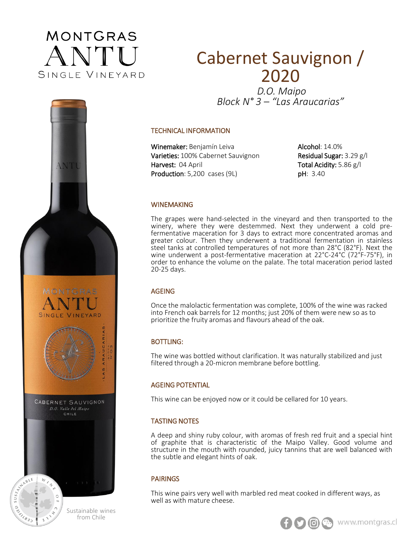

# **MONTGRAS** SINGLE VINEYARD CABERNET SAUVIGNON D.O. Valle del Maipo



CHILE

## Cabernet Sauvignon / 2020

*D.O. Maipo Block N° 3 – "Las Araucarias"*

#### TECHNICAL INFORMATION

Winemaker: Benjamín Leiva Varieties: 100% Cabernet Sauvignon Harvest: 04 April Production: 5,200 cases (9L)

Alcohol: 14.0% Residual Sugar: 3.29 g/l Total Acidity: 5.86 g/l pH: 3.40

#### WINEMAKING

The grapes were hand-selected in the vineyard and then transported to the winery, where they were destemmed. Next they underwent a cold prefermentative maceration for 3 days to extract more concentrated aromas and greater colour. Then they underwent a traditional fermentation in stainless steel tanks at controlled temperatures of not more than 28°C (82°F). Next the wine underwent a post-fermentative maceration at 22°C-24°C (72°F-75°F), in order to enhance the volume on the palate. The total maceration period lasted 20-25 days.

#### AGEING

Once the malolactic fermentation was complete, 100% of the wine was racked into French oak barrels for 12 months; just 20% of them were new so as to prioritize the fruity aromas and flavours ahead of the oak.

#### BOTTLING:

The wine was bottled without clarification. It was naturally stabilized and just filtered through a 20-micron membrane before bottling.

#### AGEING POTENTIAL

This wine can be enjoyed now or it could be cellared for 10 years.

### TASTING NOTES

A deep and shiny ruby colour, with aromas of fresh red fruit and a special hint of graphite that is characteristic of the Maipo Valley. Good volume and structure in the mouth with rounded, juicy tannins that are well balanced with the subtle and elegant hints of oak.

#### PAIRINGS

This wine pairs very well with marbled red meat cooked in different ways, as well as with mature cheese.